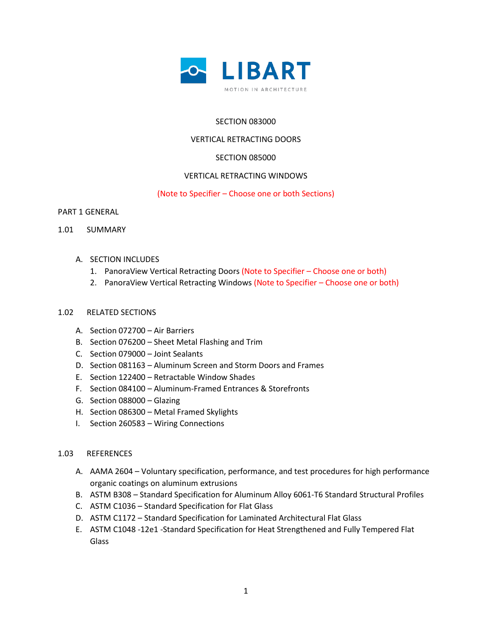

# SECTION 083000

### VERTICAL RETRACTING DOORS

### SECTION 085000

### VERTICAL RETRACTING WINDOWS

### (Note to Specifier – Choose one or both Sections)

PART 1 GENERAL

- 1.01 SUMMARY
	- A. SECTION INCLUDES
		- 1. PanoraView Vertical Retracting Doors (Note to Specifier Choose one or both)
		- 2. PanoraView Vertical Retracting Windows (Note to Specifier Choose one or both)

### 1.02 RELATED SECTIONS

- A. Section 072700 Air Barriers
- B. Section 076200 Sheet Metal Flashing and Trim
- C. Section 079000 Joint Sealants
- D. Section 081163 Aluminum Screen and Storm Doors and Frames
- E. Section 122400 Retractable Window Shades
- F. Section 084100 Aluminum-Framed Entrances & Storefronts
- G. Section 088000 Glazing
- H. Section 086300 Metal Framed Skylights
- I. Section 260583 Wiring Connections

### 1.03 REFERENCES

- A. AAMA 2604 Voluntary specification, performance, and test procedures for high performance organic coatings on aluminum extrusions
- B. ASTM B308 Standard Specification for Aluminum Alloy 6061-T6 Standard Structural Profiles
- C. ASTM C1036 Standard Specification for Flat Glass
- D. ASTM C1172 Standard Specification for Laminated Architectural Flat Glass
- E. ASTM C1048 -12e1 -Standard Specification for Heat Strengthened and Fully Tempered Flat Glass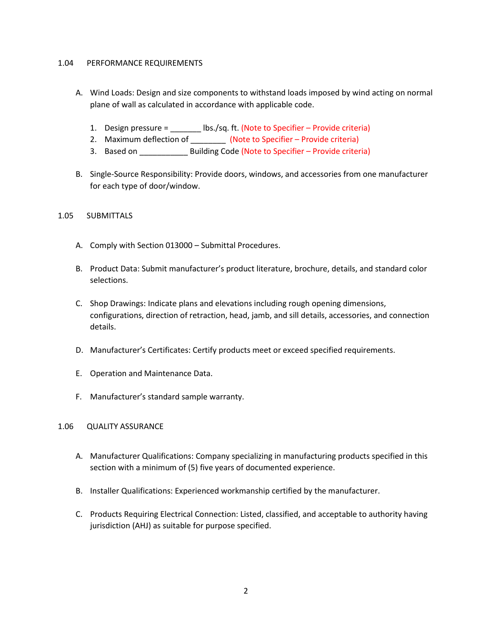### 1.04 PERFORMANCE REQUIREMENTS

- A. Wind Loads: Design and size components to withstand loads imposed by wind acting on normal plane of wall as calculated in accordance with applicable code.
	- 1. Design pressure = \_\_\_\_\_\_\_ lbs./sq. ft. (Note to Specifier Provide criteria)
	- 2. Maximum deflection of \_\_\_\_\_\_\_\_\_\_ (Note to Specifier Provide criteria)
	- 3. Based on \_\_\_\_\_\_\_\_\_\_\_\_\_\_ Building Code (Note to Specifier Provide criteria)
- B. Single-Source Responsibility: Provide doors, windows, and accessories from one manufacturer for each type of door/window.

### 1.05 SUBMITTALS

- A. Comply with Section 013000 Submittal Procedures.
- B. Product Data: Submit manufacturer's product literature, brochure, details, and standard color selections.
- C. Shop Drawings: Indicate plans and elevations including rough opening dimensions, configurations, direction of retraction, head, jamb, and sill details, accessories, and connection details.
- D. Manufacturer's Certificates: Certify products meet or exceed specified requirements.
- E. Operation and Maintenance Data.
- F. Manufacturer's standard sample warranty.

# 1.06 QUALITY ASSURANCE

- A. Manufacturer Qualifications: Company specializing in manufacturing products specified in this section with a minimum of (5) five years of documented experience.
- B. Installer Qualifications: Experienced workmanship certified by the manufacturer.
- C. Products Requiring Electrical Connection: Listed, classified, and acceptable to authority having jurisdiction (AHJ) as suitable for purpose specified.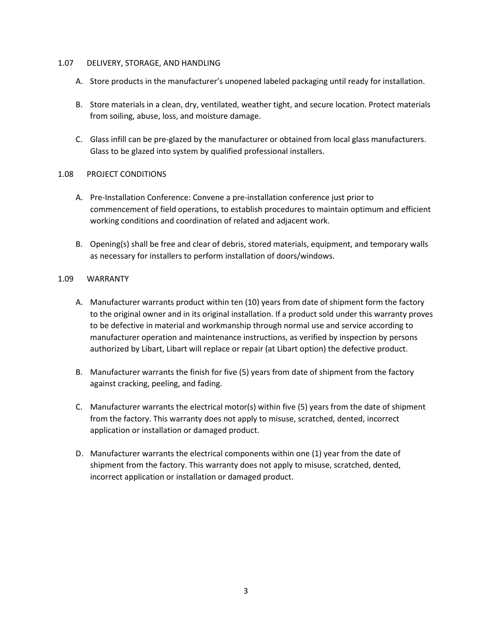### 1.07 DELIVERY, STORAGE, AND HANDLING

- A. Store products in the manufacturer's unopened labeled packaging until ready for installation.
- B. Store materials in a clean, dry, ventilated, weather tight, and secure location. Protect materials from soiling, abuse, loss, and moisture damage.
- C. Glass infill can be pre-glazed by the manufacturer or obtained from local glass manufacturers. Glass to be glazed into system by qualified professional installers.

### 1.08 PROJECT CONDITIONS

- A. Pre-Installation Conference: Convene a pre-installation conference just prior to commencement of field operations, to establish procedures to maintain optimum and efficient working conditions and coordination of related and adjacent work.
- B. Opening(s) shall be free and clear of debris, stored materials, equipment, and temporary walls as necessary for installers to perform installation of doors/windows.

### 1.09 WARRANTY

- A. Manufacturer warrants product within ten (10) years from date of shipment form the factory to the original owner and in its original installation. If a product sold under this warranty proves to be defective in material and workmanship through normal use and service according to manufacturer operation and maintenance instructions, as verified by inspection by persons authorized by Libart, Libart will replace or repair (at Libart option) the defective product.
- B. Manufacturer warrants the finish for five (5) years from date of shipment from the factory against cracking, peeling, and fading.
- C. Manufacturer warrants the electrical motor(s) within five (5) years from the date of shipment from the factory. This warranty does not apply to misuse, scratched, dented, incorrect application or installation or damaged product.
- D. Manufacturer warrants the electrical components within one (1) year from the date of shipment from the factory. This warranty does not apply to misuse, scratched, dented, incorrect application or installation or damaged product.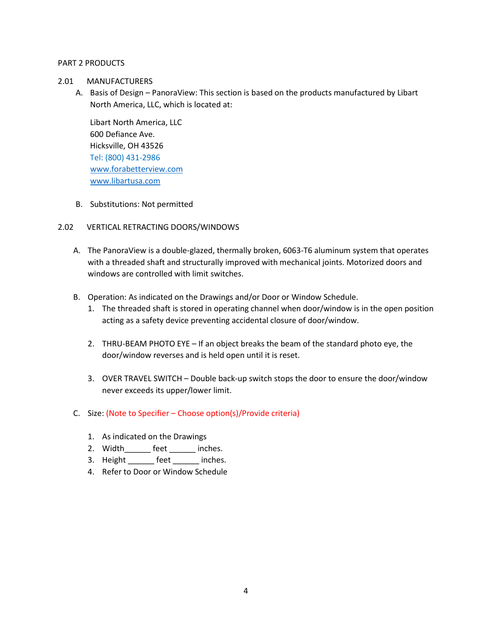### PART 2 PRODUCTS

- 2.01 MANUFACTURERS
	- A. Basis of Design PanoraView: This section is based on the products manufactured by Libart North America, LLC, which is located at:

Libart North America, LLC 600 Defiance Ave. Hicksville, OH 43526 Tel: (800) 431-2986 [www.forabetterview.com](http://www.forabetterview.com/) [www.libartusa.com](http://www.libartusa.com/)

B. Substitutions: Not permitted

# 2.02 VERTICAL RETRACTING DOORS/WINDOWS

- A. The PanoraView is a double-glazed, thermally broken, 6063-T6 aluminum system that operates with a threaded shaft and structurally improved with mechanical joints. Motorized doors and windows are controlled with limit switches.
- B. Operation: As indicated on the Drawings and/or Door or Window Schedule.
	- 1. The threaded shaft is stored in operating channel when door/window is in the open position acting as a safety device preventing accidental closure of door/window.
	- 2. THRU-BEAM PHOTO EYE If an object breaks the beam of the standard photo eye, the door/window reverses and is held open until it is reset.
	- 3. OVER TRAVEL SWITCH Double back-up switch stops the door to ensure the door/window never exceeds its upper/lower limit.
- C. Size: (Note to Specifier Choose option(s)/Provide criteria)
	- 1. As indicated on the Drawings
	- 2. Width feet inches.
	- 3. Height feet inches.
	- 4. Refer to Door or Window Schedule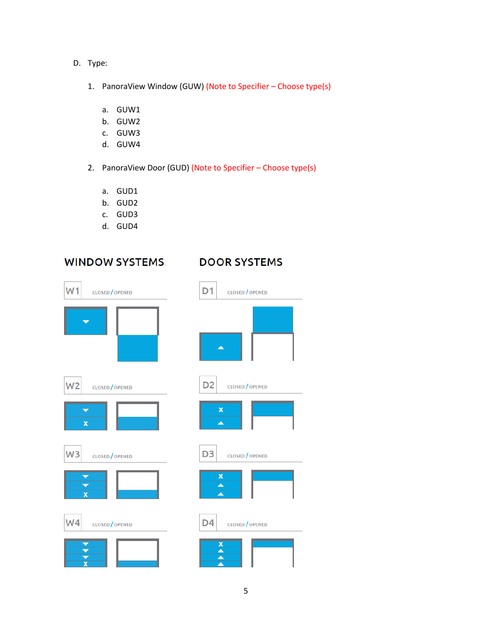- D. Type:
	- 1. PanoraView Window (GUW) (Note to Specifier Choose type(s)
		- a. GUW1
		- b. GUW2
		- c. GUW3
		- d. GUW4
	- 2. PanoraView Door (GUD) (Note to Specifier Choose type(s)
		- a. GUD1
		- b. GUD2
		- c. GUD3
		- d. GUD4

# **WINDOW SYSTEMS**

# **DOOR SYSTEMS**

|                         | <b>CLOSED</b> / OPENED |
|-------------------------|------------------------|
|                         |                        |
| W2                      | CLOSED / OPENED        |
| x                       |                        |
| W <sub>3</sub>          | <b>CLOSED</b> / OPENED |
| $\overline{\mathbf{x}}$ |                        |
| W <sub>4</sub>          | <b>CLOSED</b> / OPENED |
|                         |                        |

| D1                        | <b>CLOSED</b> / OPENED |
|---------------------------|------------------------|
|                           |                        |
|                           |                        |
| D <sub>2</sub>            | <b>CLOSED</b> / OPENED |
| $\boldsymbol{\mathsf{x}}$ |                        |
| D <sub>3</sub>            | <b>CLOSED</b> / OPENED |
| $\overline{\mathbf{x}}$   |                        |
| D4                        | CLOSED / OPENED        |
|                           |                        |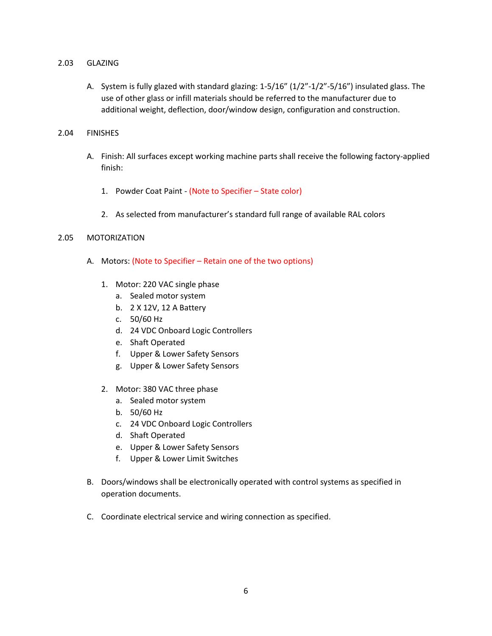### 2.03 GLAZING

A. System is fully glazed with standard glazing: 1-5/16" (1/2"-1/2"-5/16") insulated glass. The use of other glass or infill materials should be referred to the manufacturer due to additional weight, deflection, door/window design, configuration and construction.

# 2.04 FINISHES

- A. Finish: All surfaces except working machine parts shall receive the following factory-applied finish:
	- 1. Powder Coat Paint (Note to Specifier State color)
	- 2. As selected from manufacturer's standard full range of available RAL colors

# 2.05 MOTORIZATION

- A. Motors: (Note to Specifier Retain one of the two options)
	- 1. Motor: 220 VAC single phase
		- a. Sealed motor system
		- b. 2 X 12V, 12 A Battery
		- c. 50/60 Hz
		- d. 24 VDC Onboard Logic Controllers
		- e. Shaft Operated
		- f. Upper & Lower Safety Sensors
		- g. Upper & Lower Safety Sensors
	- 2. Motor: 380 VAC three phase
		- a. Sealed motor system
		- b. 50/60 Hz
		- c. 24 VDC Onboard Logic Controllers
		- d. Shaft Operated
		- e. Upper & Lower Safety Sensors
		- f. Upper & Lower Limit Switches
- B. Doors/windows shall be electronically operated with control systems as specified in operation documents.
- C. Coordinate electrical service and wiring connection as specified.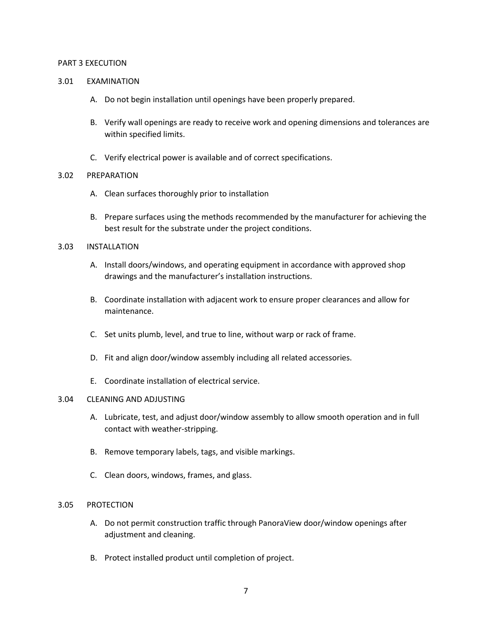### PART 3 EXECUTION

### 3.01 EXAMINATION

- A. Do not begin installation until openings have been properly prepared.
- B. Verify wall openings are ready to receive work and opening dimensions and tolerances are within specified limits.
- C. Verify electrical power is available and of correct specifications.

### 3.02 PREPARATION

- A. Clean surfaces thoroughly prior to installation
- B. Prepare surfaces using the methods recommended by the manufacturer for achieving the best result for the substrate under the project conditions.

### 3.03 INSTALLATION

- A. Install doors/windows, and operating equipment in accordance with approved shop drawings and the manufacturer's installation instructions.
- B. Coordinate installation with adjacent work to ensure proper clearances and allow for maintenance.
- C. Set units plumb, level, and true to line, without warp or rack of frame.
- D. Fit and align door/window assembly including all related accessories.
- E. Coordinate installation of electrical service.

### 3.04 CLEANING AND ADJUSTING

- A. Lubricate, test, and adjust door/window assembly to allow smooth operation and in full contact with weather-stripping.
- B. Remove temporary labels, tags, and visible markings.
- C. Clean doors, windows, frames, and glass.

### 3.05 PROTECTION

- A. Do not permit construction traffic through PanoraView door/window openings after adjustment and cleaning.
- B. Protect installed product until completion of project.